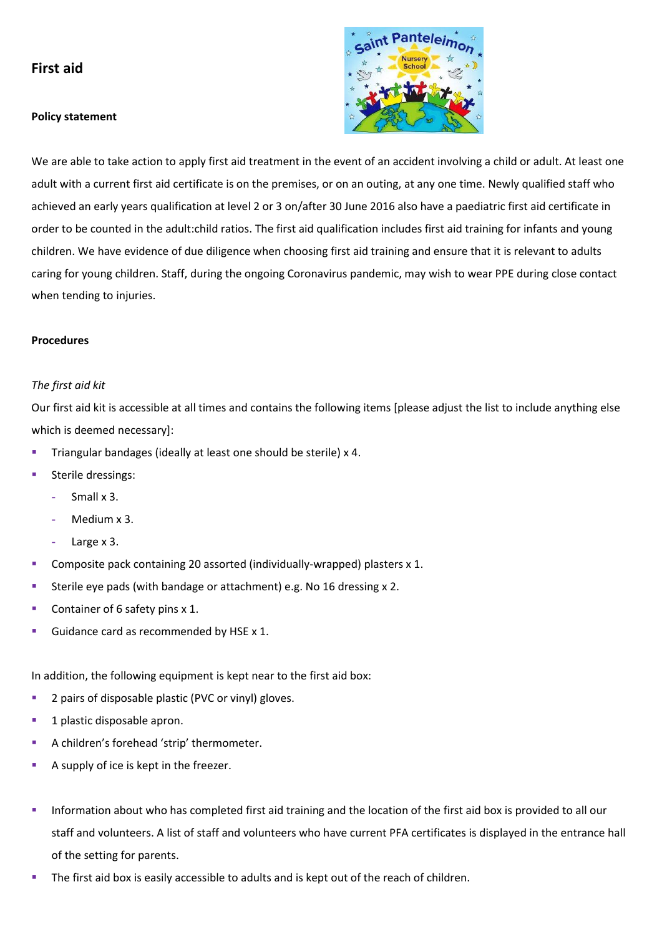# **First aid**

### **Policy statement**



We are able to take action to apply first aid treatment in the event of an accident involving a child or adult. At least one adult with a current first aid certificate is on the premises, or on an outing, at any one time. Newly qualified staff who achieved an early years qualification at level 2 or 3 on/after 30 June 2016 also have a paediatric first aid certificate in order to be counted in the adult:child ratios. The first aid qualification includes first aid training for infants and young children. We have evidence of due diligence when choosing first aid training and ensure that it is relevant to adults caring for young children. Staff, during the ongoing Coronavirus pandemic, may wish to wear PPE during close contact when tending to injuries.

## **Procedures**

#### *The first aid kit*

Our first aid kit is accessible at all times and contains the following items [please adjust the list to include anything else which is deemed necessary]:

- Triangular bandages (ideally at least one should be sterile) x 4.
- Sterile dressings:
	- **-** Small x 3.
	- **-** Medium x 3.
	- **-** Large x 3.
- Composite pack containing 20 assorted (individually-wrapped) plasters x 1.
- Sterile eye pads (with bandage or attachment) e.g. No 16 dressing x 2.
- Container of 6 safety pins x 1.
- Guidance card as recommended by HSE x 1.

In addition, the following equipment is kept near to the first aid box:

- 2 pairs of disposable plastic (PVC or vinyl) gloves.
- 1 plastic disposable apron.
- A children's forehead 'strip' thermometer.
- A supply of ice is kept in the freezer.
- **.** Information about who has completed first aid training and the location of the first aid box is provided to all our staff and volunteers. A list of staff and volunteers who have current PFA certificates is displayed in the entrance hall of the setting for parents.
- The first aid box is easily accessible to adults and is kept out of the reach of children.